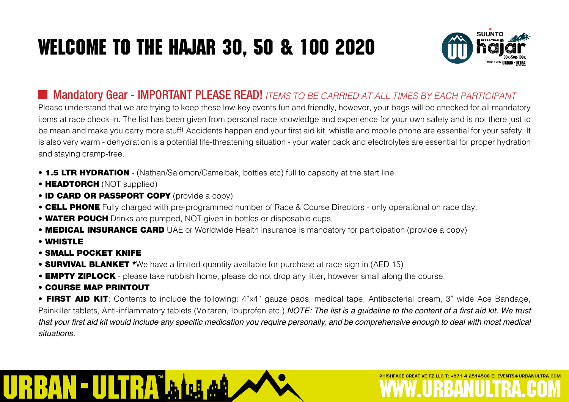# Welcome to the Hajar 30, 50 & 100 2020



FZ LLC T: +971 4 2514508 F: EVENTS@URBANULTRA

#### Mandatory Gear - IMPORTANT PLEASE READ! *ITEMS TO BE CARRIED AT ALL TIMES BY EACH PARTICIPANT*

Please understand that we are trying to keep these low-key events fun and friendly, however, your bags will be checked for all mandatory items at race check-in. The list has been given from personal race knowledge and experience for your own safety and is not there just to be mean and make you carry more stuff! Accidents happen and your first aid kit, whistle and mobile phone are essential for your safety. It is also very warm - dehydration is a potential life-threatening situation - your water pack and electrolytes are essential for proper hydration and staying cramp-free.

- **1.5 LTR HYDRATION** (Nathan/Salomon/Camelbak, bottles etc) full to capacity at the start line.
- HEADTORCH (NOT supplied)
- ID CARD OR PASSPORT COPY (provide a copy)
- CELL PHONE Fully charged with pre-programmed number of Race & Course Directors only operational on race day.
- WATER POUCH Drinks are pumped, NOT given in bottles or disposable cups.
- **MEDICAL INSURANCE CARD** UAE or Worldwide Health insurance is mandatory for participation (provide a copy)
- WHISTLE
- SMALL POCKET KNIFE
- **SURVIVAL BLANKET** \*We have a limited quantity available for purchase at race sign in (AED 15)
- **EMPTY ZIPLOCK** please take rubbish home, please do not drop any litter, however small along the course.
- COURSE MAP PRINTOUT

• FIRST AID KIT: Contents to include the following: 4"x4" gauze pads, medical tape, Antibacterial cream, 3" wide Ace Bandage, Painkiller tablets, Anti-inflammatory tablets (Voltaren, Ibuprofen etc.) NOTE: The list is a quideline to the content of a first aid kit. We trust that your first aid kit would include any specific medication you require personally, and be comprehensive enough to deal with most medical situations.

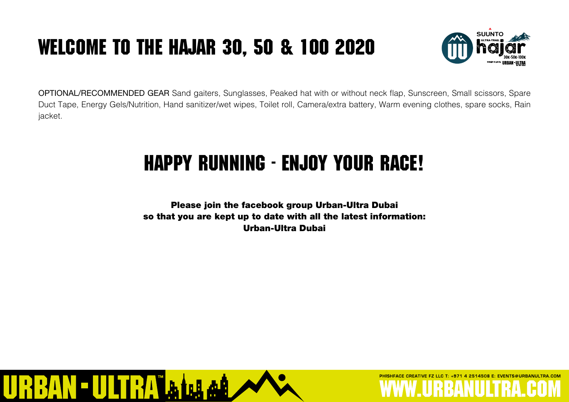## Welcome to the Hajar 30, 50 & 100 2020



**F7 LLC T: +971 4 2514508 F: EVENTS@URBANULTRA COM** 

OPTIONAL/RECOMMENDED GEAR Sand gaiters, Sunglasses, Peaked hat with or without neck flap, Sunscreen, Small scissors, Spare Duct Tape, Energy Gels/Nutrition, Hand sanitizer/wet wipes, Toilet roll, Camera/extra battery, Warm evening clothes, spare socks, Rain jacket.

### Happy Running - ENjoy your race!

Please join the facebook group Urban-Ultra Dubai so that you are kept up to date with all the latest information: Urban-Ultra Dubai